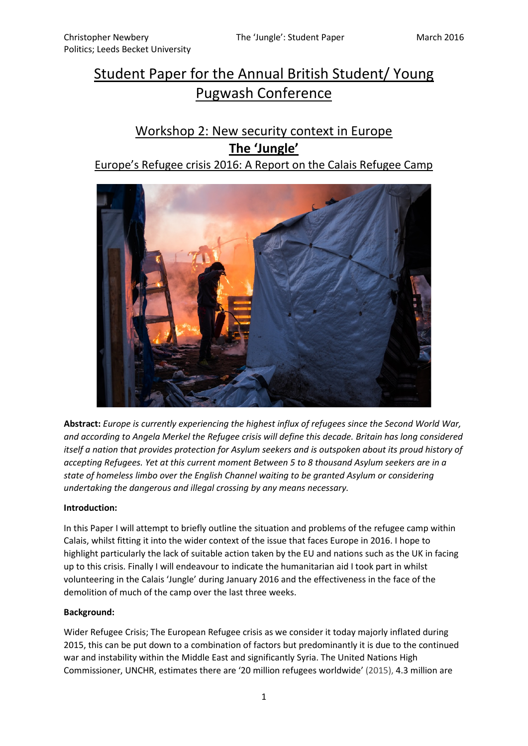# Student Paper for the Annual British Student/ Young Pugwash Conference

# Workshop 2: New security context in Europe **The 'Jungle'**

# Europe's Refugee crisis 2016: A Report on the Calais Refugee Camp



**Abstract:** *Europe is currently experiencing the highest influx of refugees since the Second World War, and according to Angela Merkel the Refugee crisis will define this decade. Britain has long considered itself a nation that provides protection for Asylum seekers and is outspoken about its proud history of accepting Refugees. Yet at this current moment Between 5 to 8 thousand Asylum seekers are in a state of homeless limbo over the English Channel waiting to be granted Asylum or considering undertaking the dangerous and illegal crossing by any means necessary.*

### **Introduction:**

In this Paper I will attempt to briefly outline the situation and problems of the refugee camp within Calais, whilst fitting it into the wider context of the issue that faces Europe in 2016. I hope to highlight particularly the lack of suitable action taken by the EU and nations such as the UK in facing up to this crisis. Finally I will endeavour to indicate the humanitarian aid I took part in whilst volunteering in the Calais 'Jungle' during January 2016 and the effectiveness in the face of the demolition of much of the camp over the last three weeks.

### **Background:**

Wider Refugee Crisis; The European Refugee crisis as we consider it today majorly inflated during 2015, this can be put down to a combination of factors but predominantly it is due to the continued war and instability within the Middle East and significantly Syria. The United Nations High Commissioner, UNCHR, estimates there are '20 million refugees worldwide' (2015), 4.3 million are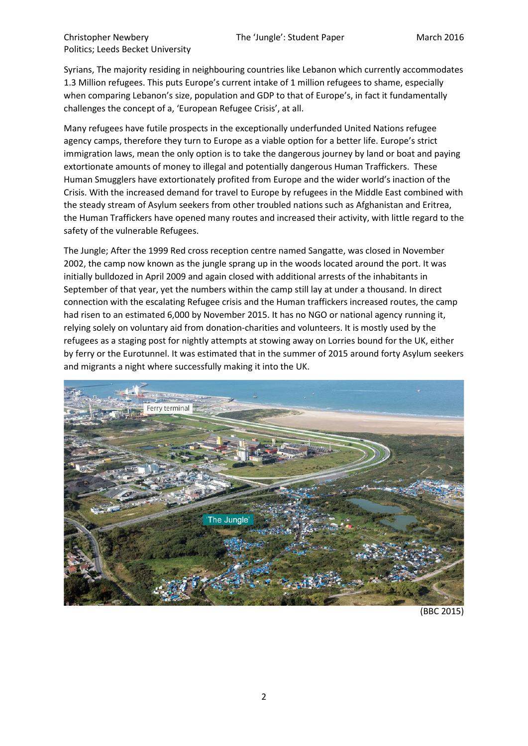Christopher Newbery The 'Jungle': Student Paper March 2016 Politics; Leeds Becket University

Syrians, The majority residing in neighbouring countries like Lebanon which currently accommodates 1.3 Million refugees. This puts Europe's current intake of 1 million refugees to shame, especially when comparing Lebanon's size, population and GDP to that of Europe's, in fact it fundamentally challenges the concept of a, 'European Refugee Crisis', at all.

Many refugees have futile prospects in the exceptionally underfunded United Nations refugee agency camps, therefore they turn to Europe as a viable option for a better life. Europe's strict immigration laws, mean the only option is to take the dangerous journey by land or boat and paying extortionate amounts of money to illegal and potentially dangerous Human Traffickers. These Human Smugglers have extortionately profited from Europe and the wider world's inaction of the Crisis. With the increased demand for travel to Europe by refugees in the Middle East combined with the steady stream of Asylum seekers from other troubled nations such as Afghanistan and Eritrea, the Human Traffickers have opened many routes and increased their activity, with little regard to the safety of the vulnerable Refugees.

The Jungle; After the 1999 Red cross reception centre named Sangatte, was closed in November 2002, the camp now known as the jungle sprang up in the woods located around the port. It was initially bulldozed in April 2009 and again closed with additional arrests of the inhabitants in September of that year, yet the numbers within the camp still lay at under a thousand. In direct connection with the escalating Refugee crisis and the Human traffickers increased routes, the camp had risen to an estimated 6,000 by November 2015. It has no NGO or national agency running it, relying solely on voluntary aid from donation-charities and volunteers. It is mostly used by the refugees as a staging post for nightly attempts at stowing away on Lorries bound for the UK, either by ferry or the Eurotunnel. It was estimated that in the summer of 2015 around forty Asylum seekers and migrants a night where successfully making it into the UK.



(BBC 2015)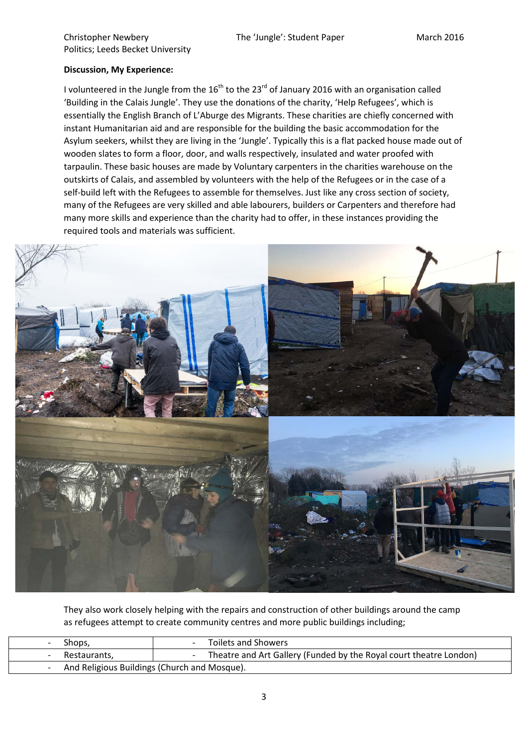#### Christopher Newbery The 'Jungle': Student Paper March 2016 Politics; Leeds Becket University

## **Discussion, My Experience:**

I volunteered in the Jungle from the  $16<sup>th</sup>$  to the 23<sup>rd</sup> of January 2016 with an organisation called 'Building in the Calais Jungle'. They use the donations of the charity, 'Help Refugees', which is essentially the English Branch of L'Aburge des Migrants. These charities are chiefly concerned with instant Humanitarian aid and are responsible for the building the basic accommodation for the Asylum seekers, whilst they are living in the 'Jungle'. Typically this is a flat packed house made out of wooden slates to form a floor, door, and walls respectively, insulated and water proofed with tarpaulin. These basic houses are made by Voluntary carpenters in the charities warehouse on the outskirts of Calais, and assembled by volunteers with the help of the Refugees or in the case of a self-build left with the Refugees to assemble for themselves. Just like any cross section of society, many of the Refugees are very skilled and able labourers, builders or Carpenters and therefore had many more skills and experience than the charity had to offer, in these instances providing the required tools and materials was sufficient.



They also work closely helping with the repairs and construction of other buildings around the camp as refugees attempt to create community centres and more public buildings including;

| Shops,                                       | Toilets and Showers                                                |
|----------------------------------------------|--------------------------------------------------------------------|
| Restaurants,                                 | Theatre and Art Gallery (Funded by the Royal court theatre London) |
| And Religious Buildings (Church and Mosque). |                                                                    |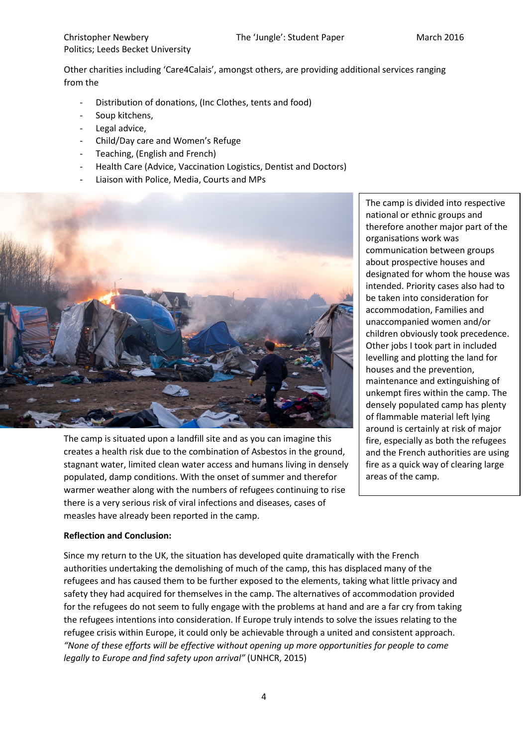Other charities including 'Care4Calais', amongst others, are providing additional services ranging from the

- Distribution of donations, (Inc Clothes, tents and food)
- Soup kitchens,
- Legal advice,
- Child/Day care and Women's Refuge
- Teaching, (English and French)
- Health Care (Advice, Vaccination Logistics, Dentist and Doctors)
- Liaison with Police, Media, Courts and MPs



The camp is situated upon a landfill site and as you can imagine this creates a health risk due to the combination of Asbestos in the ground, stagnant water, limited clean water access and humans living in densely populated, damp conditions. With the onset of summer and therefor warmer weather along with the numbers of refugees continuing to rise there is a very serious risk of viral infections and diseases, cases of measles have already been reported in the camp.

The camp is divided into respective national or ethnic groups and therefore another major part of the organisations work was communication between groups about prospective houses and designated for whom the house was intended. Priority cases also had to be taken into consideration for accommodation, Families and unaccompanied women and/or children obviously took precedence. Other jobs I took part in included levelling and plotting the land for houses and the prevention, maintenance and extinguishing of unkempt fires within the camp. The densely populated camp has plenty of flammable material left lying around is certainly at risk of major fire, especially as both the refugees and the French authorities are using fire as a quick way of clearing large areas of the camp.

#### **Reflection and Conclusion:**

Since my return to the UK, the situation has developed quite dramatically with the French authorities undertaking the demolishing of much of the camp, this has displaced many of the refugees and has caused them to be further exposed to the elements, taking what little privacy and safety they had acquired for themselves in the camp. The alternatives of accommodation provided for the refugees do not seem to fully engage with the problems at hand and are a far cry from taking the refugees intentions into consideration. If Europe truly intends to solve the issues relating to the refugee crisis within Europe, it could only be achievable through a united and consistent approach. *"None of these efforts will be effective without opening up more opportunities for people to come legally to Europe and find safety upon arrival"* (UNHCR, 2015)